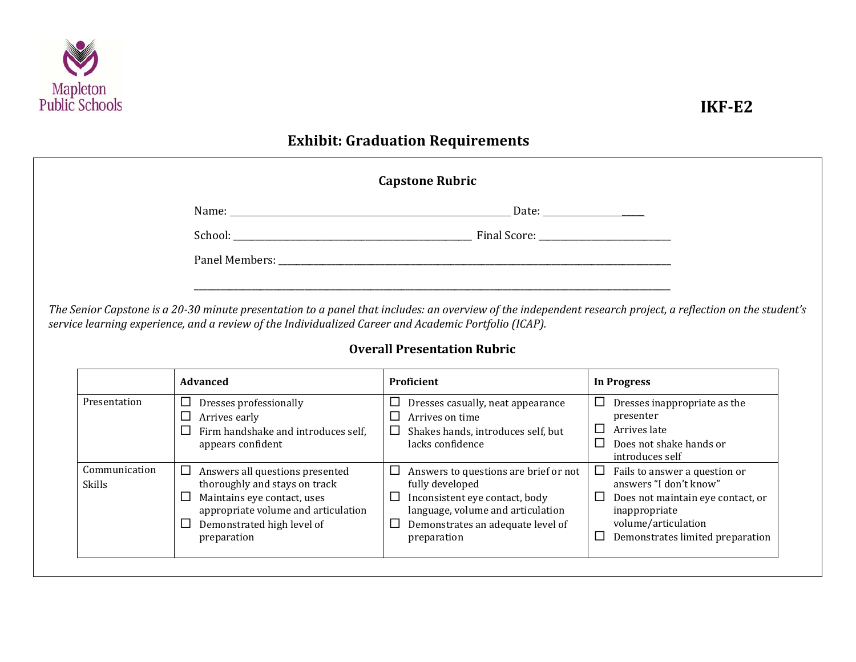

|              | service learning experience, and a review of the Individualized Career and Academic Portfolio (ICAP).<br><b>Advanced</b> | <b>Overall Presentation Rubric</b><br>Proficient                                                                                  |                                                                                                                                             |  |
|--------------|--------------------------------------------------------------------------------------------------------------------------|-----------------------------------------------------------------------------------------------------------------------------------|---------------------------------------------------------------------------------------------------------------------------------------------|--|
| Presentation | $\Box$ Dresses professionally<br>$\Box$ Arrives early<br>$\Box$ Firm handshake and introduces self.<br>appears confident | $\Box$ Dresses casually, neat appearance<br>Arrives on time<br>⊔<br>$\Box$ Shakes hands, introduces self, but<br>lacks confidence | <b>In Progress</b><br>$\Box$ Dresses inappropriate as the<br>presenter<br>$\Box$ Arrives late<br>Does not shake hands or<br>introduces self |  |
|              |                                                                                                                          |                                                                                                                                   |                                                                                                                                             |  |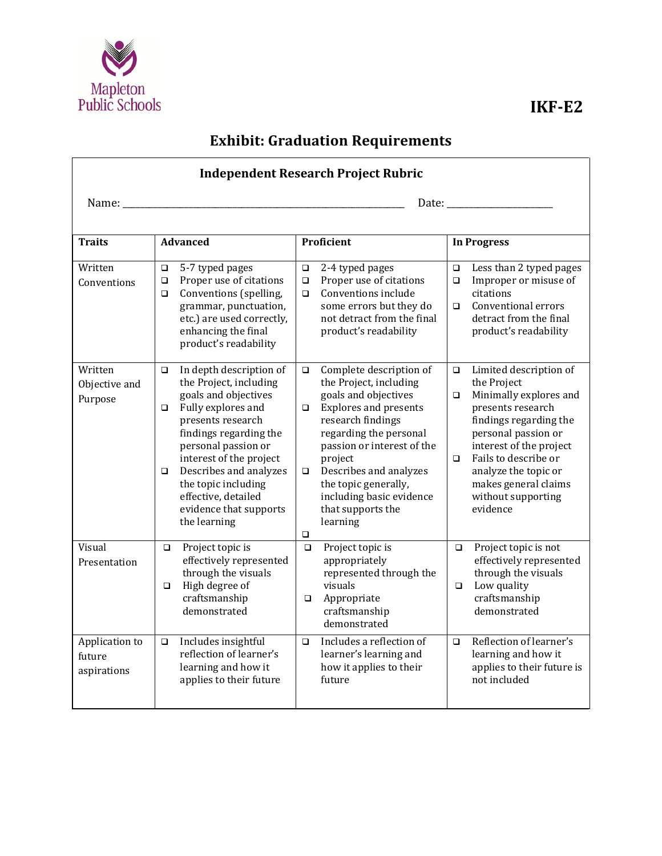

| <b>Independent Research Project Rubric</b> |                                                                                                                                                                                                                                                                                                                                                  |                                                                                                                                                                                                                                                                                                                                                          |                                                                                                                                                                                                                                                                                                          |  |  |  |
|--------------------------------------------|--------------------------------------------------------------------------------------------------------------------------------------------------------------------------------------------------------------------------------------------------------------------------------------------------------------------------------------------------|----------------------------------------------------------------------------------------------------------------------------------------------------------------------------------------------------------------------------------------------------------------------------------------------------------------------------------------------------------|----------------------------------------------------------------------------------------------------------------------------------------------------------------------------------------------------------------------------------------------------------------------------------------------------------|--|--|--|
|                                            |                                                                                                                                                                                                                                                                                                                                                  |                                                                                                                                                                                                                                                                                                                                                          |                                                                                                                                                                                                                                                                                                          |  |  |  |
| <b>Traits</b>                              | <b>Advanced</b>                                                                                                                                                                                                                                                                                                                                  | Proficient                                                                                                                                                                                                                                                                                                                                               | <b>In Progress</b>                                                                                                                                                                                                                                                                                       |  |  |  |
| Written<br>Conventions                     | 5-7 typed pages<br>$\Box$<br>Proper use of citations<br>$\Box$<br>Conventions (spelling,<br>$\Box$<br>grammar, punctuation,<br>etc.) are used correctly,<br>enhancing the final<br>product's readability                                                                                                                                         | 2-4 typed pages<br>$\Box$<br>Proper use of citations<br>$\Box$<br>Conventions include<br>$\Box$<br>some errors but they do<br>not detract from the final<br>product's readability                                                                                                                                                                        | Less than 2 typed pages<br>$\Box$<br>Improper or misuse of<br>$\Box$<br>citations<br>Conventional errors<br>$\Box$<br>detract from the final<br>product's readability                                                                                                                                    |  |  |  |
| Written<br>Objective and<br>Purpose        | In depth description of<br>$\Box$<br>the Project, including<br>goals and objectives<br>Fully explores and<br>$\Box$<br>presents research<br>findings regarding the<br>personal passion or<br>interest of the project<br>Describes and analyzes<br>$\Box$<br>the topic including<br>effective, detailed<br>evidence that supports<br>the learning | Complete description of<br>$\Box$<br>the Project, including<br>goals and objectives<br><b>Explores and presents</b><br>$\Box$<br>research findings<br>regarding the personal<br>passion or interest of the<br>project<br>Describes and analyzes<br>$\Box$<br>the topic generally,<br>including basic evidence<br>that supports the<br>learning<br>$\Box$ | Limited description of<br>$\Box$<br>the Project<br>Minimally explores and<br>$\Box$<br>presents research<br>findings regarding the<br>personal passion or<br>interest of the project<br>Fails to describe or<br>$\Box$<br>analyze the topic or<br>makes general claims<br>without supporting<br>evidence |  |  |  |
| Visual<br>Presentation                     | Project topic is<br>$\Box$<br>effectively represented<br>through the visuals<br>High degree of<br>$\Box$<br>craftsmanship<br>demonstrated                                                                                                                                                                                                        | Project topic is<br>$\Box$<br>appropriately<br>represented through the<br>visuals<br>Appropriate<br>$\Box$<br>craftsmanship<br>demonstrated                                                                                                                                                                                                              | Project topic is not<br>$\Box$<br>effectively represented<br>through the visuals<br>Low quality<br>$\Box$<br>craftsmanship<br>demonstrated                                                                                                                                                               |  |  |  |
| Application to<br>future<br>aspirations    | Includes insightful<br>$\Box$<br>reflection of learner's<br>learning and how it<br>applies to their future                                                                                                                                                                                                                                       | Includes a reflection of<br>$\Box$<br>learner's learning and<br>how it applies to their<br>future                                                                                                                                                                                                                                                        | Reflection of learner's<br>$\Box$<br>learning and how it<br>applies to their future is<br>not included                                                                                                                                                                                                   |  |  |  |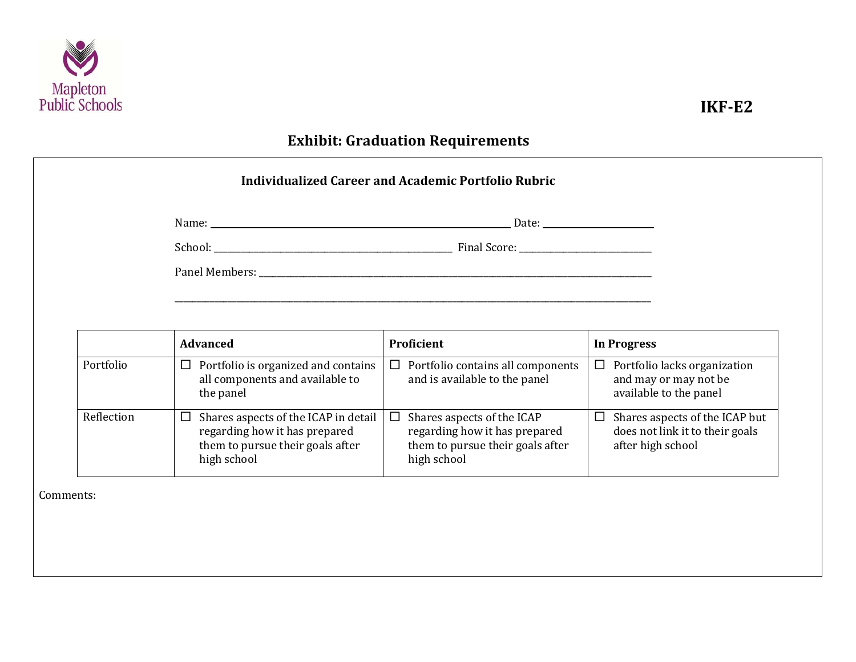

|           | Name: Name:                                                                              |                                                                              |                                                                                           |
|-----------|------------------------------------------------------------------------------------------|------------------------------------------------------------------------------|-------------------------------------------------------------------------------------------|
|           |                                                                                          |                                                                              |                                                                                           |
|           |                                                                                          |                                                                              |                                                                                           |
|           |                                                                                          |                                                                              |                                                                                           |
|           |                                                                                          |                                                                              |                                                                                           |
|           | <b>Advanced</b>                                                                          | Proficient                                                                   | <b>In Progress</b>                                                                        |
|           |                                                                                          |                                                                              |                                                                                           |
| Portfolio | Portfolio is organized and contains<br>⊔<br>all components and available to<br>the panel | $\Box$<br>Portfolio contains all components<br>and is available to the panel | $\Box$<br>Portfolio lacks organization<br>and may or may not be<br>available to the panel |